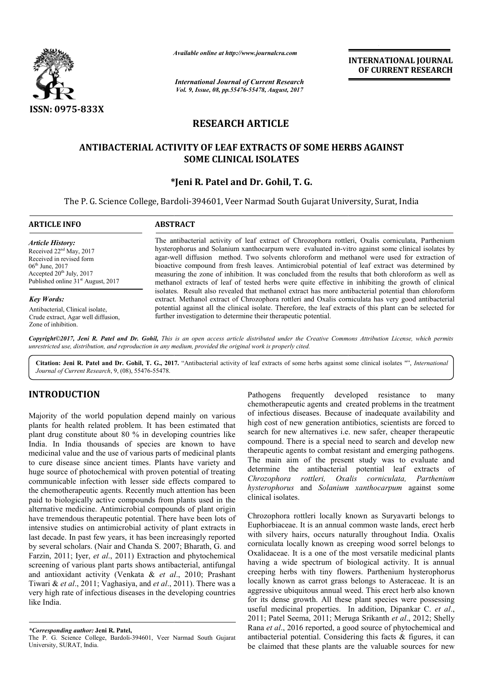

*Available online at http://www.journal http://www.journalcra.com*

*International Journal of Current Research Vol. 9, Issue, 08, pp.55476-55478, August, 2017* **INTERNATIONAL JOURNAL OF CURRENT RESEARCH** 

# **RESEARCH ARTICLE**

## **ANTIBACTERIAL ACTIVITY OF LEAF EXTRACTS OF SOME HERBS AGAINST EXTRACTS OF HERBS AGAINST SOME CLINICAL ISOLATES**

## **\* \*Jeni R. Patel and Dr. Gohil, T. G.**

The P. G. Science College, Bardoli-394601, Veer Narmad South Gujarat University, Surat, India

| <b>ARTICLE INFO</b>                                                                                             | <b>ABSTRACT</b>                                                                                                                                                                                                                                                                                                                                                                                            |
|-----------------------------------------------------------------------------------------------------------------|------------------------------------------------------------------------------------------------------------------------------------------------------------------------------------------------------------------------------------------------------------------------------------------------------------------------------------------------------------------------------------------------------------|
| <b>Article History:</b><br>Received $22nd$ May, 2017<br>Received in revised form<br>$06^{\text{th}}$ June, 2017 | The antibacterial activity of leaf extract of Chrozophora rottleri, Oxalis corniculata, Parthenium<br>hysterophorus and Solanium xanthocarpum were evaluated in-vitro against some clinical isolates by<br>agar-well diffusion method. Two solvents chloroform and methanol were used for extraction of<br>bioactive compound from fresh leaves. Antimicrobial potential of leaf extract was determined by |
| Accepted $20th$ July, $2017$                                                                                    | measuring the zone of inhibition. It was concluded from the results that both chloroform as well as                                                                                                                                                                                                                                                                                                        |

*Key Words:*

Antibacterial, Clinical isolate, Crude extract, Agar well diffusion, Zone of inhibition.

Published online 31<sup>st</sup> August, 2017

measuring the zone of inhibition. It was concluded from the results that both chloroform as well as methanol extracts of leaf of tested herbs were quite effective in inhibiting the growth of clinical isolates. Result also revealed that methanol extract has more antibacterial potential extract. Methanol extract of C Chrozophora rottleri and Oxalis corniculata has very good antibacterial potential against all the clinical isolate. Therefore, the leaf extracts of this plant can be selected for further investigation to determine their therapeutic potential. vitro against some clinical isolates by led from the results that both chloroform as well as quite effective in inhibiting the growth of clinical act has more antibacterial potential than chloroform

Copyright©2017, Jeni R. Patel and Dr. Gohil, This is an open access article distributed under the Creative Commons Attribution License, which permits *unrestricted use, distribution, and reproduction in any medium, provided the original work is properly cited.*

Citation: Jeni R. Patel and Dr. Gohil, T. G., 2017. "Antibacterial activity of leaf extracts of some herbs against some clinical isolates "", *International Journal of Current Research*, 9, (08), 55476-55478.

# **INTRODUCTION**

Majority of the world population depend mainly on various plants for health related problem. It has been estimated that plant drug constitute about 80 % in developing countries like India. In India thousands of species are known to have medicinal value and the use of various parts of medicinal plants to cure disease since ancient times. Plants have variety and huge source of photochemical with proven potential of treating communicable infection with lesser side effects compared to the chemotherapeutic agents. Recently much attention has been paid to biologically active compounds from plants used in the alternative medicine. Antimicrobial compounds of plant origin have tremendous therapeutic potential. There have been lots of intensive studies on antimicrobial activity of plant extracts in last decade. In past few years, it has been increasingly reported by several scholars. (Nair and Chanda S. 2007; Bharath, G. and Farzin, 2011; Iyer, *et al*., 2011) Extraction and phytochemical screening of various plant parts shows antibacterial, antifungal and antioxidant activity (Venkata & *et al* Tiwari & *et al*., 2011; Vaghasiya, and *et al*., 2011) 2011). There was a very high rate of infectious diseases in the developing countries like India. ical with proven potential of treating<br>with lesser side effects compared to<br>ts. Recently much attention has been<br>compounds from plants used in the<br>microbial compounds of plant origin<br>tic potential. There have been lots of

The P. G. Science College, Bardoli-394601, Veer Narmad South Gujarat University, SURAT, India.

chemotherapeutic agents and created problems in the treatment of infectious diseases. Because of inadequate availability and high cost of new generation antibiotics, scientists are forced to search for new alternatives i.e. new safer, cheaper therapeutic compound. There is a special need to search and develop new therapeutic agents to combat resistant and emerging pathogens. The main aim of the present study was to evaluate and chemotherapeutic agents and created problems in the treatment<br>of infectious diseases. Because of inadequate availability and<br>high cost of new generation antibiotics, scientists are forced to<br>search for new alternatives i.e *Chrozophora rottleri, Oxalis corniculata, hysterophorus* and *Solanium xanthocarpum* against some clinical isolates. *Parthenium* 

**EVALUAT:** The properal mainly on various and reach the motherapse frequently developed resistance to many of infectious diseases. Because of indequate availability and the layer of the motion interbed with a search for t Chrozophora rottleri locally known as Suryavarti belongs to Euphorbiaceae. It is an annual common waste lands, erect herb Chrozophora rottleri locally known as Suryavarti belongs to Euphorbiaceae. It is an annual common waste lands, erect herb with silvery hairs, occurs naturally throughout India. Oxalis corniculata locally known as creeping wood sorrel belongs to Oxalidaceae. It is a one of the most versatile medicinal plants corniculata locally known as creeping wood sorrel belongs to Oxalidaceae. It is a one of the most versatile medicinal plants having a wide spectrum of biological activity. It is annual creeping herbs with tiny flowers. Parthenium hysterophorus locally known as carrot grass belongs to Asteraceae. It is an aggressive ubiquitous annual weed. This erect herb also known locally known as carrot grass belongs to Asteraceae. It is an aggressive ubiquitous annual weed. This erect herb also known for its dense growth. All these plant species were possessing useful medicinal properties. In addition, Dipankar C. et al., 2011; Patel Seema, 2011; Meruga Srikanth et al., 2012; Shelly Rana *et al*., 2016 reported, a good source of phytochemical and Rana *et al.*, 2016 reported, a good source of phytochemical and antibacterial potential. Considering this facts & figures, it can be claimed that these plants are the valuable sources for new INTERNATIONAL JOURNAL<br>
From Research<br>
Tor CURRENT RESEARCH<br>
Tor CURRENT RESEARCH<br>
Tor CURRENT RESEARCH<br>
TICLE<br>
FACTS OF SOME HERBS AGAINST<br>
TICLE<br>
TICLE<br>
CO-DILI, T. G.<br>
CO-DILI, T. G.<br>
EXECTS OF SOME HERBS AGAINST<br>
TICLE

*<sup>\*</sup>Corresponding author:* **Jeni R. Patel,**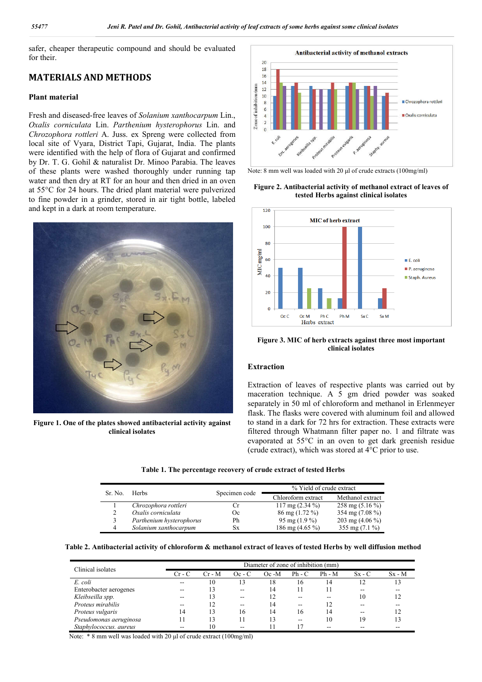safer, cheaper therapeutic compound and should be evaluated for their.

## **MATERIALS AND METHODS**

### **Plant material**

Fresh and diseased-free leaves of *Solanium xanthocarpum* Lin., *Oxalis corniculata* Lin. *Parthenium hysterophorus* Lin. and *Chrozophora rottleri* A. Juss. ex Spreng were collected from local site of Vyara, District Tapi, Gujarat, India. The plants were identified with the help of flora of Gujarat and confirmed by Dr. T. G. Gohil & naturalist Dr. Minoo Parabia. The leaves of these plants were washed thoroughly under running tap water and then dry at RT for an hour and then dried in an oven at 55°C for 24 hours. The dried plant material were pulverized to fine powder in a grinder, stored in air tight bottle, labeled and kept in a dark at room temperature.



**Figure 1. One of the plates showed antibacterial activity against clinical isolates**



Note: 8 mm well was loaded with 20 μl of crude extracts (100mg/ml)

### **Figure 2. Antibacterial activity of methanol extract of leaves of tested Herbs against clinical isolates**



**Figure 3. MIC of herb extracts against three most important clinical isolates**

## **Extraction**

Extraction of leaves of respective plants was carried out by maceration technique. A 5 gm dried powder was soaked separately in 50 ml of chloroform and methanol in Erlenmeyer flask. The flasks were covered with aluminum foil and allowed to stand in a dark for 72 hrs for extraction. These extracts were filtered through Whatmann filter paper no. 1 and filtrate was evaporated at 55°C in an oven to get dark greenish residue (crude extract), which was stored at 4°C prior to use.

|  |  | Table 1. The percentage recovery of crude extract of tested Herbs |  |  |  |  |  |  |
|--|--|-------------------------------------------------------------------|--|--|--|--|--|--|
|--|--|-------------------------------------------------------------------|--|--|--|--|--|--|

| Sr. No. | <b>Herbs</b>             |               | % Yield of crude extract          |                   |  |  |
|---------|--------------------------|---------------|-----------------------------------|-------------------|--|--|
|         |                          | Specimen code | Chloroform extract                | Methanol extract  |  |  |
|         | Chrozophora rottleri     |               | $117 \text{ mg} (2.34 \text{ %})$ | 258 mg $(5.16\%)$ |  |  |
|         | Oxalis corniculata       | Oc.           | $86 \text{ mg} (1.72 \text{ %})$  | 354 mg $(7.08\%)$ |  |  |
|         | Parthenium hysterophorus | Ph            | 95 mg $(1.9\%)$                   | 203 mg $(4.06\%)$ |  |  |
| 4       | Solanium xanthocarpum    | Sх            | 186 mg $(4.65\%)$                 | 355 mg $(7.1\%)$  |  |  |

**Table 2. Antibacterial activity of chloroform & methanol extract of leaves of tested Herbs by well diffusion method**

| Clinical isolates      | Diameter of zone of inhibition (mm) |          |          |          |          |          |               |          |
|------------------------|-------------------------------------|----------|----------|----------|----------|----------|---------------|----------|
|                        | $Cr - C$                            | $Cr - M$ | $Oc - C$ | $Oc - M$ | $Ph - C$ | $Ph - M$ | $S_{X}$ - $C$ | $Sx - M$ |
| E. coli                | --                                  | 10       | 13       | 18       | 16       | 14       |               | 3        |
| Enterobacter aerogenes | --                                  | 13       | $- -$    | 14       |          |          | --            |          |
| Kleibseilla spp.       | --                                  | 13       | $- -$    | 12       |          |          | 10            |          |
| Proteus mirabilis      | $\overline{\phantom{a}}$            | 12       | $- -$    | 14       | $- -$    | 12       |               |          |
| Proteus vulgaris       | 14                                  | 13       | 16       | 14       | 16       | 14       | --            |          |
| Pseudomonas aeruginosa |                                     | 13       |          | 13       | $- -$    | 10       | 19            |          |
| Staphylococcus. aureus | --                                  | 10       | --       |          |          |          |               |          |

Note: \* 8 mm well was loaded with 20 μl of crude extract (100mg/ml)